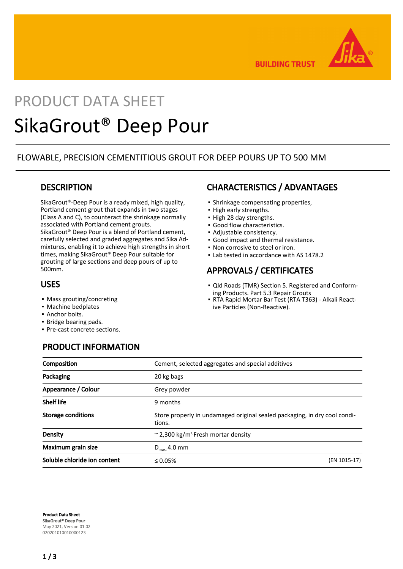

**BUILDING TRUST** 

# PRODUCT DATA SHEET SikaGrout® Deep Pour

### FLOWABLE, PRECISION CEMENTITIOUS GROUT FOR DEEP POURS UP TO 500 MM

### **DESCRIPTION**

SikaGrout®-Deep Pour is a ready mixed, high quality, Portland cement grout that expands in two stages (Class A and C), to counteract the shrinkage normally associated with Portland cement grouts. SikaGrout® Deep Pour is a blend of Portland cement, carefully selected and graded aggregates and Sika Admixtures, enabling it to achieve high strengths in short times, making SikaGrout® Deep Pour suitable for grouting of large sections and deep pours of up to 500mm.

### USES

- Mass grouting/concreting
- Machine bedplates
- **Anchor bolts.**
- Bridge bearing pads.
- Pre-cast concrete sections.

# PRODUCT INFORMATION

### CHARACTERISTICS / ADVANTAGES

- **·** Shrinkage compensating properties,
- High early strengths.
- High 28 day strengths.
- Good flow characteristics.
- Adjustable consistency.
- Good impact and thermal resistance.
- Non corrosive to steel or iron.
- Lab tested in accordance with AS 1478.2

### APPROVALS / CERTIFICATES

- Qld Roads (TMR) Section 5. Registered and Conform-▪ ing Products. Part 5.3 Repair Grouts
- RTA Rapid Mortar Bar Test (RTA T363) Alkali React-▪ ive Particles (Non-Reactive).

| Composition                  | Cement, selected aggregates and special additives                                   |              |  |
|------------------------------|-------------------------------------------------------------------------------------|--------------|--|
| Packaging                    | 20 kg bags                                                                          |              |  |
| Appearance / Colour          | Grey powder                                                                         |              |  |
| <b>Shelf life</b>            | 9 months                                                                            |              |  |
| <b>Storage conditions</b>    | Store properly in undamaged original sealed packaging, in dry cool condi-<br>tions. |              |  |
| <b>Density</b>               | $\approx$ 2,300 kg/m <sup>3</sup> Fresh mortar density                              |              |  |
| Maximum grain size           | $D_{\text{max}}$ 4.0 mm                                                             |              |  |
| Soluble chloride ion content | $\leq 0.05\%$                                                                       | (EN 1015-17) |  |

Product Data Sheet SikaGrout® Deep Pour May 2021, Version 01.02 020201010010000123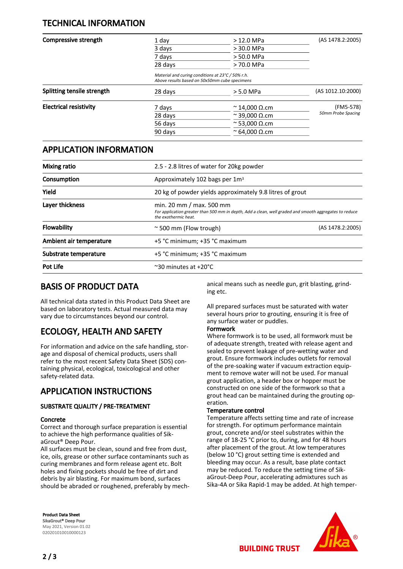### TECHNICAL INFORMATION

| Compressive strength          | 1 day                      | $>12.0$ MPa                   | (AS 1478.2:2005)                |
|-------------------------------|----------------------------|-------------------------------|---------------------------------|
|                               | 3 days                     | > 30.0 MPa                    |                                 |
|                               | 7 days<br>28 days          | > 50.0 MPa<br>> 70.0 MPa      |                                 |
|                               |                            |                               |                                 |
|                               | Splitting tensile strength | 28 days                       | $> 5.0$ MPa                     |
| <b>Electrical resistivity</b> | 7 days                     | $\approx$ 14,000 $\Omega$ .cm | (FM5-578)<br>50mm Probe Spacing |
|                               | 28 days                    | $\approx$ 39,000 $\Omega$ .cm |                                 |
|                               | 56 days                    | $\approx$ 53,000 $\Omega$ .cm |                                 |
|                               | 90 days                    | $\approx$ 64,000 $\Omega$ .cm |                                 |

### APPLICATION INFORMATION

| <b>Mixing ratio</b>     | 2.5 - 2.8 litres of water for 20kg powder                                                                                                                  |                  |  |  |
|-------------------------|------------------------------------------------------------------------------------------------------------------------------------------------------------|------------------|--|--|
| Consumption             | Approximately 102 bags per 1m <sup>3</sup>                                                                                                                 |                  |  |  |
| Yield                   | 20 kg of powder yields approximately 9.8 litres of grout                                                                                                   |                  |  |  |
| Layer thickness         | min. 20 mm / max. 500 mm<br>For application greater than 500 mm in depth, Add a clean, well graded and smooth aggregates to reduce<br>the exothermic heat. |                  |  |  |
| <b>Flowability</b>      | $\approx$ 500 mm (Flow trough)                                                                                                                             | (AS 1478.2:2005) |  |  |
| Ambient air temperature | +5 °C minimum; +35 °C maximum                                                                                                                              |                  |  |  |
| Substrate temperature   | +5 °C minimum; +35 °C maximum                                                                                                                              |                  |  |  |
| Pot Life                | $\sim$ 30 minutes at +20 $\degree$ C                                                                                                                       |                  |  |  |

### BASIS OF PRODUCT DATA

All technical data stated in this Product Data Sheet are based on laboratory tests. Actual measured data may vary due to circumstances beyond our control.

## ECOLOGY, HEALTH AND SAFETY

For information and advice on the safe handling, storage and disposal of chemical products, users shall refer to the most recent Safety Data Sheet (SDS) containing physical, ecological, toxicological and other safety-related data.

### APPLICATION INSTRUCTIONS

#### SUBSTRATE QUALITY / PRE-TREATMENT

#### Concrete

Correct and thorough surface preparation is essential to achieve the high performance qualities of SikaGrout® Deep Pour.

All surfaces must be clean, sound and free from dust, ice, oils, grease or other surface contaminants such as curing membranes and form release agent etc. Bolt holes and fixing pockets should be free of dirt and debris by air blasting. For maximum bond, surfaces should be abraded or roughened, preferably by mech-

Product Data Sheet SikaGrout® Deep Pour May 2021, Version 01.02 020201010010000123

anical means such as needle gun, grit blasting, grinding etc.

All prepared surfaces must be saturated with water several hours prior to grouting, ensuring it is free of any surface water or puddles.

#### Formwork

Where formwork is to be used, all formwork must be of adequate strength, treated with release agent and sealed to prevent leakage of pre-wetting water and grout. Ensure formwork includes outlets for removal of the pre-soaking water if vacuum extraction equipment to remove water will not be used. For manual grout application, a header box or hopper must be constructed on one side of the formwork so that a grout head can be maintained during the grouting operation.

#### Temperature control

Temperature affects setting time and rate of increase for strength. For optimum performance maintain grout, concrete and/or steel substrates within the range of 18-25 °C prior to, during, and for 48 hours after placement of the grout. At low temperatures (below 10 °C) grout setting time is extended and bleeding may occur. As a result, base plate contact may be reduced. To reduce the setting time of SikaGrout-Deep Pour, accelerating admixtures such as Sika-4A or Sika Rapid-1 may be added. At high temper-



**BUILDING TRUST**